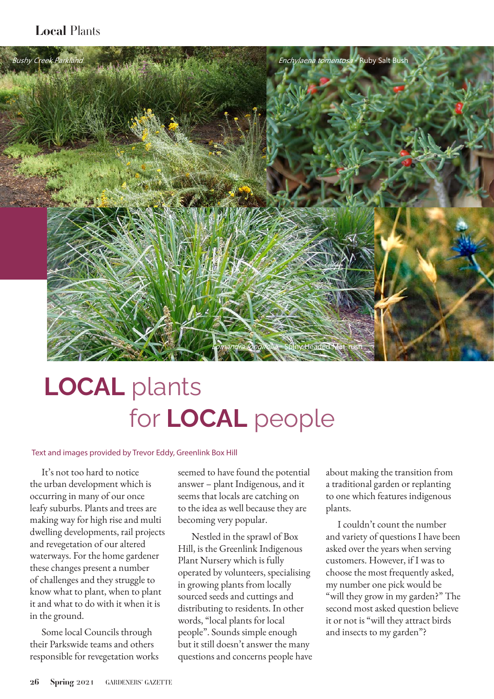# *Local* Plants



# LOCAL plants for LOCAL people

#### Text and images provided by Trevor Eddy, Greenlink Box Hill

It's not too hard to notice the urban development which is occurring in many of our once leafy suburbs. Plants and trees are making way for high rise and multi dwelling developments, rail projects and revegetation of our altered waterways. For the home gardener these changes present a number of challenges and they struggle to know what to plant, when to plant it and what to do with it when it is in the ground.

Some local Councils through their Parkswide teams and others responsible for revegetation works seemed to have found the potential answer – plant Indigenous, and it seems that locals are catching on to the idea as well because they are becoming very popular.

 Nestled in the sprawl of Box Hill, is the Greenlink Indigenous Plant Nursery which is fully operated by volunteers, specialising in growing plants from locally sourced seeds and cuttings and distributing to residents. In other words, "local plants for local people". Sounds simple enough but it still doesn't answer the many questions and concerns people have about making the transition from a traditional garden or replanting to one which features indigenous plants.

I couldn't count the number and variety of questions I have been asked over the years when serving customers. However, if I was to choose the most frequently asked, my number one pick would be "will they grow in my garden?" The second most asked question believe it or not is "will they attract birds and insects to my garden"?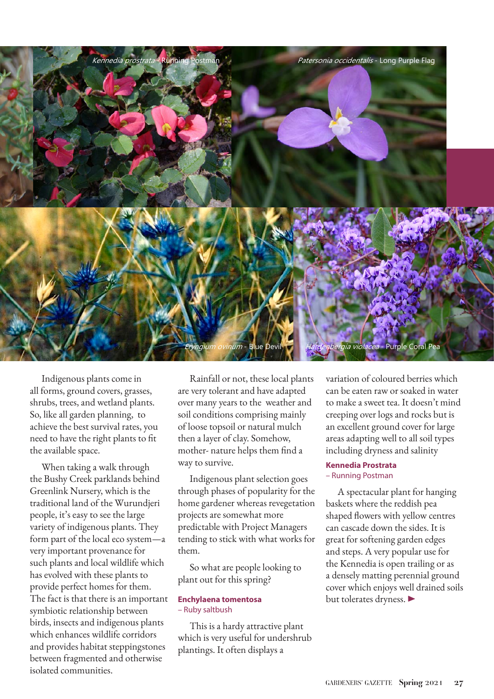

Indigenous plants come in all forms, ground covers, grasses, shrubs, trees, and wetland plants. So, like all garden planning, to achieve the best survival rates, you need to have the right plants to fit the available space.

When taking a walk through the Bushy Creek parklands behind Greenlink Nursery, which is the traditional land of the Wurundjeri people, it's easy to see the large variety of indigenous plants. They form part of the local eco system—a very important provenance for such plants and local wildlife which has evolved with these plants to provide perfect homes for them. The fact is that there is an important symbiotic relationship between birds, insects and indigenous plants which enhances wildlife corridors and provides habitat steppingstones between fragmented and otherwise isolated communities.

Rainfall or not, these local plants are very tolerant and have adapted over many years to the weather and soil conditions comprising mainly of loose topsoil or natural mulch then a layer of clay. Somehow, mother- nature helps them find a way to survive.

Indigenous plant selection goes through phases of popularity for the home gardener whereas revegetation projects are somewhat more predictable with Project Managers tending to stick with what works for them.

So what are people looking to plant out for this spring?

#### **Enchylaena tomentosa**  – Ruby saltbush

This is a hardy attractive plant which is very useful for undershrub plantings. It often displays a

variation of coloured berries which can be eaten raw or soaked in water to make a sweet tea. It doesn't mind creeping over logs and rocks but is an excellent ground cover for large areas adapting well to all soil types including dryness and salinity

## **Kennedia Prostrata**  – Running Postman

A spectacular plant for hanging baskets where the reddish pea shaped flowers with yellow centres can cascade down the sides. It is great for softening garden edges and steps. A very popular use for the Kennedia is open trailing or as a densely matting perennial ground cover which enjoys well drained soils but tolerates dryness.